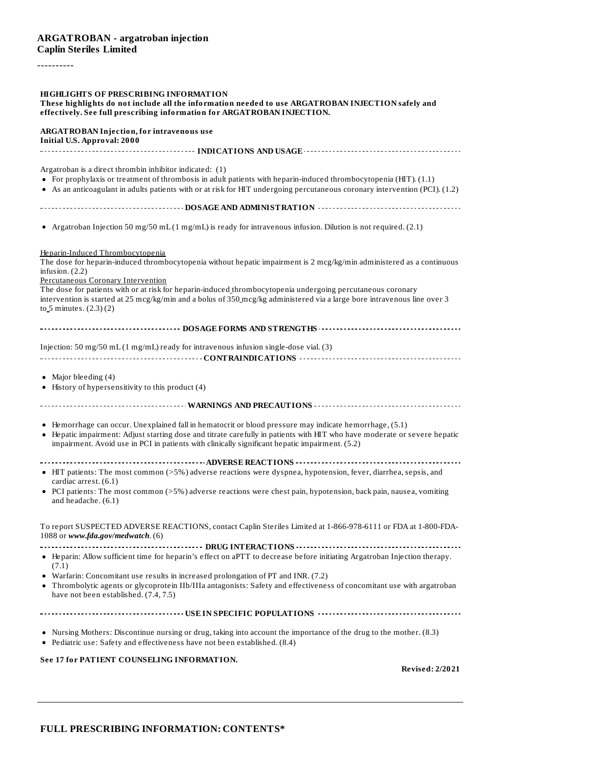# **ARGATROBAN - argatroban injection Caplin Steriles Limited**

----------

| <b>HIGHLIGHTS OF PRESCRIBING INFORMATION</b><br>These highlights do not include all the information needed to use ARGATROBAN INJECTION safely and<br>effectively. See full prescribing information for ARGATROBAN INJECTION.                                                                                                           |
|----------------------------------------------------------------------------------------------------------------------------------------------------------------------------------------------------------------------------------------------------------------------------------------------------------------------------------------|
| <b>ARGATROBAN Injection, for intravenous use</b><br><b>Initial U.S. Approval: 2000</b>                                                                                                                                                                                                                                                 |
|                                                                                                                                                                                                                                                                                                                                        |
| Argatroban is a direct thrombin inhibitor indicated: (1)<br>• For prophylaxis or treatment of thrombosis in adult patients with heparin-induced thrombocytopenia (HIT). (1.1)<br>• As an anticoagulant in adults patients with or at risk for HIT undergoing percutaneous coronary intervention (PCI). (1.2)                           |
|                                                                                                                                                                                                                                                                                                                                        |
| • Argatroban Injection 50 mg/50 mL (1 mg/mL) is ready for intravenous infusion. Dilution is not required. (2.1)                                                                                                                                                                                                                        |
| Heparin-Induced Thrombocytopenia<br>The dose for heparin-induced thrombocytopenia without hepatic impairment is 2 mcg/kg/min administered as a continuous<br>infusion. $(2.2)$<br>Percutaneous Coronary Intervention<br>The dose for patients with or at risk for heparin-induced thrombocytopenia undergoing percutaneous coronary    |
| intervention is started at 25 mcg/kg/min and a bolus of 350 mcg/kg administered via a large bore intravenous line over 3<br>to $5$ minutes. $(2.3)(2)$                                                                                                                                                                                 |
|                                                                                                                                                                                                                                                                                                                                        |
| Injection: 50 mg/50 mL $(1 \text{ mg/mL})$ ready for intravenous infusion single-dose vial. (3)                                                                                                                                                                                                                                        |
| • Major bleeding $(4)$<br>• History of hypersensitivity to this product (4)                                                                                                                                                                                                                                                            |
|                                                                                                                                                                                                                                                                                                                                        |
| • Hemorrhage can occur. Unexplained fall in hematocrit or blood pressure may indicate hemorrhage, (5.1)<br>• Hepatic impairment: Adjust starting dose and titrate carefully in patients with HIT who have moderate or severe hepatic<br>impairment. Avoid use in PCI in patients with clinically significant hepatic impairment. (5.2) |
| • HIT patients: The most common (>5%) adverse reactions were dyspnea, hypotension, fever, diarrhea, sepsis, and                                                                                                                                                                                                                        |
| cardiac arrest. (6.1)<br>• PCI patients: The most common (>5%) adverse reactions were chest pain, hypotension, back pain, nausea, vomiting<br>and headache. $(6.1)$                                                                                                                                                                    |
| To report SUSPECTED ADVERSE REACTIONS, contact Caplin Steriles Limited at 1-866-978-6111 or FDA at 1-800-FDA-<br>1088 or www.fda.gov/medwatch. (6)                                                                                                                                                                                     |
| • Heparin: Allow sufficient time for heparin's effect on aPTT to decrease before initiating Argatroban Injection therapy.<br>(7.1)                                                                                                                                                                                                     |
| • Warfarin: Concomitant use results in increased prolongation of PT and INR. (7.2)<br>• Thrombolytic agents or glycoprotein IIb/IIIa antagonists: Safety and effectiveness of concomitant use with argatroban<br>have not been established. (7.4, 7.5)                                                                                 |
|                                                                                                                                                                                                                                                                                                                                        |
| • Nursing Mothers: Discontinue nursing or drug, taking into account the importance of the drug to the mother. (8.3)<br>• Pediatric use: Safety and effectiveness have not been established. (8.4)                                                                                                                                      |
| See 17 for PATIENT COUNSELING INFORMATION.<br><b>Revised: 2/2021</b>                                                                                                                                                                                                                                                                   |
|                                                                                                                                                                                                                                                                                                                                        |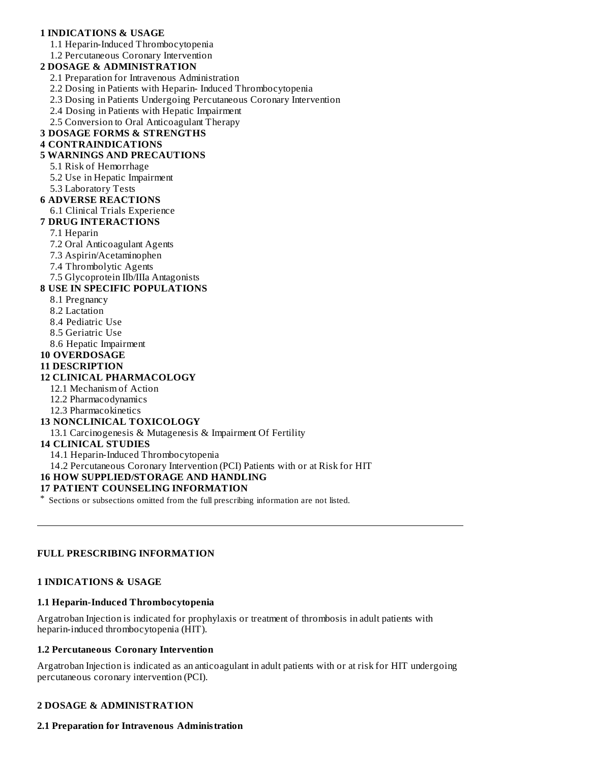# **1 INDICATIONS & USAGE**

1.1 Heparin-Induced Thrombocytopenia

1.2 Percutaneous Coronary Intervention

#### **2 DOSAGE & ADMINISTRATION**

2.1 Preparation for Intravenous Administration

2.2 Dosing in Patients with Heparin- Induced Thrombocytopenia

2.3 Dosing in Patients Undergoing Percutaneous Coronary Intervention

2.4 Dosing in Patients with Hepatic Impairment

2.5 Conversion to Oral Anticoagulant Therapy

# **3 DOSAGE FORMS & STRENGTHS**

### **4 CONTRAINDICATIONS**

#### **5 WARNINGS AND PRECAUTIONS**

#### 5.1 Risk of Hemorrhage

5.2 Use in Hepatic Impairment

5.3 Laboratory Tests

#### **6 ADVERSE REACTIONS**

6.1 Clinical Trials Experience

#### **7 DRUG INTERACTIONS**

#### 7.1 Heparin

- 7.2 Oral Anticoagulant Agents
- 7.3 Aspirin/Acetaminophen
- 7.4 Thrombolytic Agents

7.5 Glycoprotein IIb/IIIa Antagonists

### **8 USE IN SPECIFIC POPULATIONS**

- 8.1 Pregnancy
- 8.2 Lactation
- 8.4 Pediatric Use
- 8.5 Geriatric Use
- 8.6 Hepatic Impairment
- **10 OVERDOSAGE**

#### **11 DESCRIPTION**

#### **12 CLINICAL PHARMACOLOGY**

- 12.1 Mechanism of Action
- 12.2 Pharmacodynamics
- 12.3 Pharmacokinetics

#### **13 NONCLINICAL TOXICOLOGY**

13.1 Carcinogenesis & Mutagenesis & Impairment Of Fertility

#### **14 CLINICAL STUDIES**

14.1 Heparin-Induced Thrombocytopenia

14.2 Percutaneous Coronary Intervention (PCI) Patients with or at Risk for HIT

# **16 HOW SUPPLIED/STORAGE AND HANDLING**

#### **17 PATIENT COUNSELING INFORMATION**

\* Sections or subsections omitted from the full prescribing information are not listed.

# **FULL PRESCRIBING INFORMATION**

#### **1 INDICATIONS & USAGE**

#### **1.1 Heparin-Induced Thrombocytopenia**

Argatroban Injection is indicated for prophylaxis or treatment of thrombosis in adult patients with heparin-induced thrombocytopenia (HIT).

#### **1.2 Percutaneous Coronary Intervention**

Argatroban Injection is indicated as an anticoagulant in adult patients with or at risk for HIT undergoing percutaneous coronary intervention (PCI).

#### **2 DOSAGE & ADMINISTRATION**

#### **2.1 Preparation for Intravenous Administration**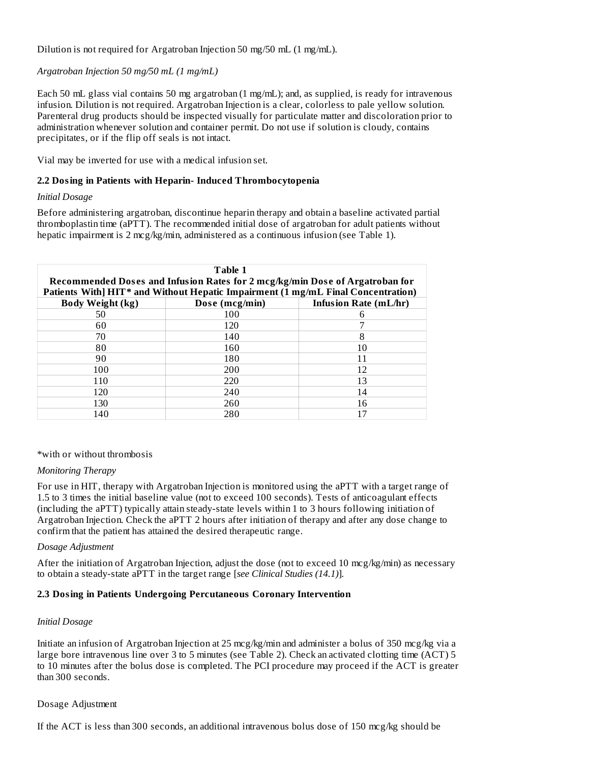Dilution is not required for Argatroban Injection 50 mg/50 mL (1 mg/mL).

*Argatroban Injection 50 mg/50 mL (1 mg/mL)*

Each 50 mL glass vial contains 50 mg argatroban (1 mg/mL); and, as supplied, is ready for intravenous infusion. Dilution is not required. Argatroban Injection is a clear, colorless to pale yellow solution. Parenteral drug products should be inspected visually for particulate matter and discoloration prior to administration whenever solution and container permit. Do not use if solution is cloudy, contains precipitates, or if the flip off seals is not intact.

Vial may be inverted for use with a medical infusion set.

### **2.2 Dosing in Patients with Heparin- Induced Thrombocytopenia**

#### *Initial Dosage*

Before administering argatroban, discontinue heparin therapy and obtain a baseline activated partial thromboplastin time (aPTT). The recommended initial dose of argatroban for adult patients without hepatic impairment is 2 mcg/kg/min, administered as a continuous infusion (see Table 1).

| Table 1<br>Recommended Doses and Infusion Rates for 2 mcg/kg/min Dose of Argatroban for<br>Patients With] HIT* and Without Hepatic Impairment (1 mg/mL Final Concentration) |     |    |  |  |  |
|-----------------------------------------------------------------------------------------------------------------------------------------------------------------------------|-----|----|--|--|--|
| <b>Body Weight (kg)</b><br>Infusion Rate (mL/hr)<br>Dose (mcg/min)                                                                                                          |     |    |  |  |  |
| 50                                                                                                                                                                          | 100 | 6  |  |  |  |
| 60                                                                                                                                                                          | 120 |    |  |  |  |
| 70                                                                                                                                                                          | 140 | 8  |  |  |  |
| 80                                                                                                                                                                          | 160 | 10 |  |  |  |
| 90                                                                                                                                                                          | 180 |    |  |  |  |
| 100                                                                                                                                                                         | 200 | 12 |  |  |  |
| 110                                                                                                                                                                         | 220 | 13 |  |  |  |
| 120                                                                                                                                                                         | 240 | 14 |  |  |  |
| 130                                                                                                                                                                         | 260 | 16 |  |  |  |
| 140                                                                                                                                                                         | 280 |    |  |  |  |

\*with or without thrombosis

#### *Monitoring Therapy*

For use in HIT, therapy with Argatroban Injection is monitored using the aPTT with a target range of 1.5 to 3 times the initial baseline value (not to exceed 100 seconds). Tests of anticoagulant effects (including the aPTT) typically attain steady-state levels within 1 to 3 hours following initiation of Argatroban Injection. Check the aPTT 2 hours after initiation of therapy and after any dose change to confirm that the patient has attained the desired therapeutic range.

#### *Dosage Adjustment*

After the initiation of Argatroban Injection, adjust the dose (not to exceed 10 mcg/kg/min) as necessary to obtain a steady-state aPTT in the target range [*see Clinical Studies (14.1)*]*.*

#### **2.3 Dosing in Patients Undergoing Percutaneous Coronary Intervention**

#### *Initial Dosage*

Initiate an infusion of Argatroban Injection at 25 mcg/kg/min and administer a bolus of 350 mcg/kg via a large bore intravenous line over 3 to 5 minutes (see Table 2). Check an activated clotting time (ACT) 5 to 10 minutes after the bolus dose is completed. The PCI procedure may proceed if the ACT is greater than 300 seconds.

#### Dosage Adjustment

If the ACT is less than 300 seconds, an additional intravenous bolus dose of 150 mcg/kg should be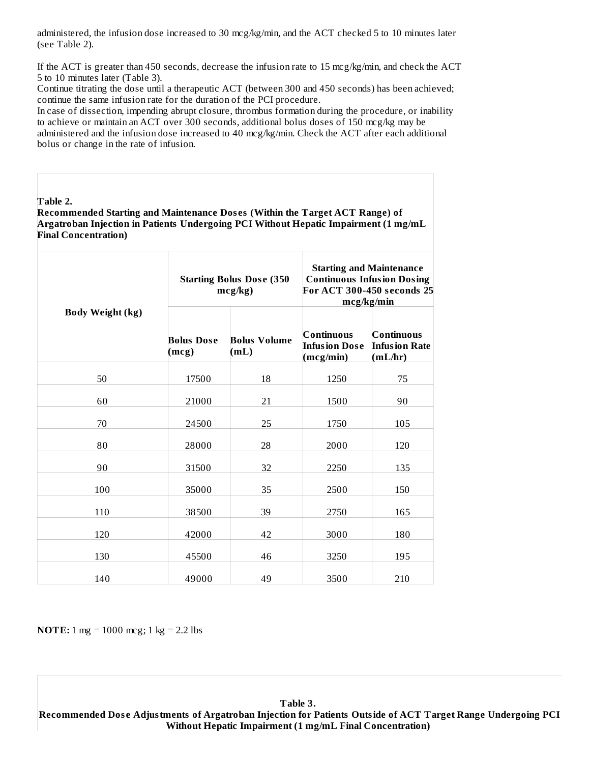administered, the infusion dose increased to 30 mcg/kg/min, and the ACT checked 5 to 10 minutes later (see Table 2).

If the ACT is greater than 450 seconds, decrease the infusion rate to 15 mcg/kg/min, and check the ACT 5 to 10 minutes later (Table 3).

Continue titrating the dose until a therapeutic ACT (between 300 and 450 seconds) has been achieved; continue the same infusion rate for the duration of the PCI procedure.

In case of dissection, impending abrupt closure, thrombus formation during the procedure, or inability to achieve or maintain an ACT over 300 seconds, additional bolus doses of 150 mcg/kg may be administered and the infusion dose increased to 40 mcg/kg/min. Check the ACT after each additional bolus or change in the rate of infusion.

**Table 2.**

**Recommended Starting and Maintenance Dos es (Within the Target ACT Range) of Argatroban Injection in Patients Undergoing PCI Without Hepatic Impairment (1 mg/mL Final Concentration)**

|                         |                            | <b>Starting Bolus Dose (350)</b><br>mcg/kg | <b>Starting and Maintenance</b><br><b>Continuous Infusion Dosing</b><br>For ACT 300-450 seconds 25<br>mcg/kg/min |                                               |
|-------------------------|----------------------------|--------------------------------------------|------------------------------------------------------------------------------------------------------------------|-----------------------------------------------|
| <b>Body Weight (kg)</b> | <b>Bolus Dose</b><br>(mcg) | <b>Bolus Volume</b><br>(mL)                | <b>Continuous</b><br><b>Infusion Dose</b><br>(mcg/min)                                                           | Continuous<br><b>Infusion Rate</b><br>(mL/hr) |
| 50                      | 17500                      | 18                                         | 1250                                                                                                             | 75                                            |
| 60                      | 21000                      | 21                                         | 1500                                                                                                             | 90                                            |
| 70                      | 24500                      | 25                                         | 1750                                                                                                             | 105                                           |
| 80                      | 28000                      | 28                                         | 2000                                                                                                             | 120                                           |
| 90                      | 31500                      | 32                                         | 2250                                                                                                             | 135                                           |
| 100                     | 35000                      | 35                                         | 2500                                                                                                             | 150                                           |
| 110                     | 38500                      | 39                                         | 2750                                                                                                             | 165                                           |
| 120                     | 42000                      | 42                                         | 3000                                                                                                             | 180                                           |
| 130                     | 45500                      | 46                                         | 3250                                                                                                             | 195                                           |
| 140                     | 49000                      | 49                                         | 3500                                                                                                             | 210                                           |

**NOTE:** 1 mg = 1000 mcg; 1 kg = 2.2 lbs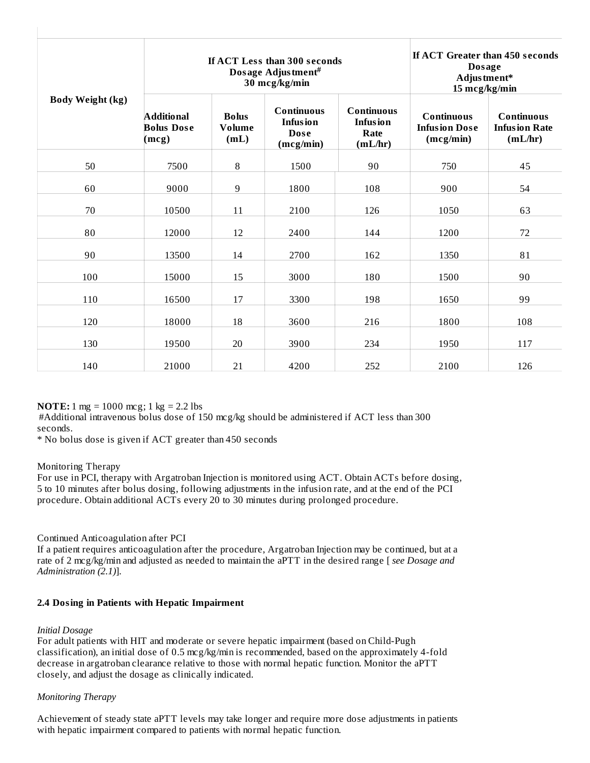|                         | If ACT Less than 300 seconds<br>Dosage Adjustment#<br>30 mcg/kg/min |                                |                                                                  |                                                         | If ACT Greater than 450 seconds<br><b>Dosage</b><br>Adjustment*<br>15 mcg/kg/min |                                                      |
|-------------------------|---------------------------------------------------------------------|--------------------------------|------------------------------------------------------------------|---------------------------------------------------------|----------------------------------------------------------------------------------|------------------------------------------------------|
| <b>Body Weight (kg)</b> | <b>Additional</b><br><b>Bolus Dose</b><br>(mcg)                     | <b>Bolus</b><br>Volume<br>(mL) | <b>Continuous</b><br><b>Infusion</b><br><b>Dose</b><br>(mcg/min) | <b>Continuous</b><br><b>Infusion</b><br>Rate<br>(mL/hr) | <b>Continuous</b><br><b>Infusion Dose</b><br>(mcg/min)                           | <b>Continuous</b><br><b>Infusion Rate</b><br>(mL/hr) |
| 50                      | 7500                                                                | 8                              | 1500                                                             | 90                                                      | 750                                                                              | 45                                                   |
| 60                      | 9000                                                                | 9                              | 1800                                                             | 108                                                     | 900                                                                              | 54                                                   |
| 70                      | 10500                                                               | 11                             | 2100                                                             | 126                                                     | 1050                                                                             | 63                                                   |
| 80                      | 12000                                                               | 12                             | 2400                                                             | 144                                                     | 1200                                                                             | 72                                                   |
| 90                      | 13500                                                               | 14                             | 2700                                                             | 162                                                     | 1350                                                                             | 81                                                   |
| 100                     | 15000                                                               | 15                             | 3000                                                             | 180                                                     | 1500                                                                             | 90                                                   |
| 110                     | 16500                                                               | 17                             | 3300                                                             | 198                                                     | 1650                                                                             | 99                                                   |
| 120                     | 18000                                                               | 18                             | 3600                                                             | 216                                                     | 1800                                                                             | 108                                                  |
| 130                     | 19500                                                               | 20                             | 3900                                                             | 234                                                     | 1950                                                                             | 117                                                  |
| 140                     | 21000                                                               | 21                             | 4200                                                             | 252                                                     | 2100                                                                             | 126                                                  |

 $\mathbf{I}$ 

**NOTE:** 1 mg = 1000 mcg; 1 kg = 2.2 lbs

#Additional intravenous bolus dose of 150 mcg/kg should be administered if ACT less than 300 seconds.

\* No bolus dose is given if ACT greater than 450 seconds

# Monitoring Therapy

 $\mathbf{I}$ 

For use in PCI, therapy with Argatroban Injection is monitored using ACT. Obtain ACTs before dosing, 5 to 10 minutes after bolus dosing, following adjustments in the infusion rate, and at the end of the PCI procedure. Obtain additional ACTs every 20 to 30 minutes during prolonged procedure.

# Continued Anticoagulation after PCI

If a patient requires anticoagulation after the procedure, Argatroban Injection may be continued, but at a rate of 2 mcg/kg/min and adjusted as needed to maintain the aPTT in the desired range [ *see Dosage and Administration (2.1)*].

# **2.4 Dosing in Patients with Hepatic Impairment**

# *Initial Dosage*

For adult patients with HIT and moderate or severe hepatic impairment (based on Child-Pugh classification), an initial dose of 0.5 mcg/kg/min is recommended, based on the approximately 4-fold decrease in argatroban clearance relative to those with normal hepatic function. Monitor the aPTT closely, and adjust the dosage as clinically indicated.

# *Monitoring Therapy*

Achievement of steady state aPTT levels may take longer and require more dose adjustments in patients with hepatic impairment compared to patients with normal hepatic function.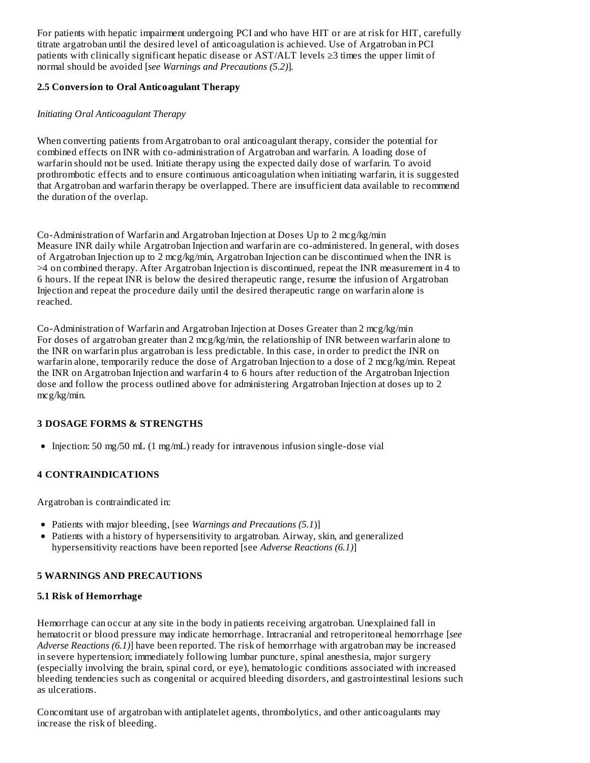For patients with hepatic impairment undergoing PCI and who have HIT or are at risk for HIT, carefully titrate argatroban until the desired level of anticoagulation is achieved. Use of Argatroban in PCI patients with clinically significant hepatic disease or AST/ALT levels ≥3 times the upper limit of normal should be avoided [*see Warnings and Precautions (5.2)*]*.*

### **2.5 Conversion to Oral Anticoagulant Therapy**

### *Initiating Oral Anticoagulant Therapy*

When converting patients from Argatroban to oral anticoagulant therapy, consider the potential for combined effects on INR with co-administration of Argatroban and warfarin. A loading dose of warfarin should not be used. Initiate therapy using the expected daily dose of warfarin. To avoid prothrombotic effects and to ensure continuous anticoagulation when initiating warfarin, it is suggested that Argatroban and warfarin therapy be overlapped. There are insufficient data available to recommend the duration of the overlap.

Co-Administration of Warfarin and Argatroban Injection at Doses Up to 2 mcg/kg/min Measure INR daily while Argatroban Injection and warfarin are co-administered. In general, with doses of Argatroban Injection up to 2 mcg/kg/min, Argatroban Injection can be discontinued when the INR is >4 on combined therapy. After Argatroban Injection is discontinued, repeat the INR measurement in 4 to 6 hours. If the repeat INR is below the desired therapeutic range, resume the infusion of Argatroban Injection and repeat the procedure daily until the desired therapeutic range on warfarin alone is reached.

Co-Administration of Warfarin and Argatroban Injection at Doses Greater than 2 mcg/kg/min For doses of argatroban greater than 2 mcg/kg/min, the relationship of INR between warfarin alone to the INR on warfarin plus argatroban is less predictable. In this case, in order to predict the INR on warfarin alone, temporarily reduce the dose of Argatroban Injection to a dose of 2 mcg/kg/min. Repeat the INR on Argatroban Injection and warfarin 4 to 6 hours after reduction of the Argatroban Injection dose and follow the process outlined above for administering Argatroban Injection at doses up to 2 mcg/kg/min.

# **3 DOSAGE FORMS & STRENGTHS**

 $\bullet$  Injection: 50 mg/50 mL (1 mg/mL) ready for intravenous infusion single-dose vial

#### **4 CONTRAINDICATIONS**

Argatroban is contraindicated in:

- Patients with major bleeding, [see *Warnings and Precautions (5.1*)]
- Patients with a history of hypersensitivity to argatroban. Airway, skin, and generalized hypersensitivity reactions have been reported [see *Adverse Reactions (6.1)*]

#### **5 WARNINGS AND PRECAUTIONS**

#### **5.1 Risk of Hemorrhage**

Hemorrhage can occur at any site in the body in patients receiving argatroban. Unexplained fall in hematocrit or blood pressure may indicate hemorrhage. Intracranial and retroperitoneal hemorrhage [*see Adverse Reactions (6.1)*] have been reported. The risk of hemorrhage with argatroban may be increased in severe hypertension; immediately following lumbar puncture, spinal anesthesia, major surgery (especially involving the brain, spinal cord, or eye), hematologic conditions associated with increased bleeding tendencies such as congenital or acquired bleeding disorders, and gastrointestinal lesions such as ulcerations.

Concomitant use of argatroban with antiplatelet agents, thrombolytics, and other anticoagulants may increase the risk of bleeding.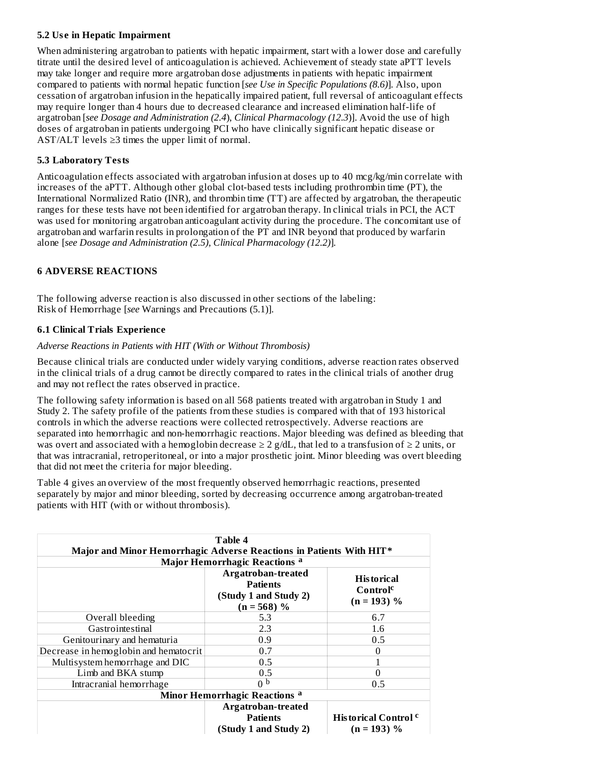# **5.2 Us e in Hepatic Impairment**

When administering argatroban to patients with hepatic impairment, start with a lower dose and carefully titrate until the desired level of anticoagulation is achieved. Achievement of steady state aPTT levels may take longer and require more argatroban dose adjustments in patients with hepatic impairment compared to patients with normal hepatic function [*see Use in Specific Populations (8.6)*]*.* Also, upon cessation of argatroban infusion in the hepatically impaired patient, full reversal of anticoagulant effects may require longer than 4 hours due to decreased clearance and increased elimination half-life of argatroban [*see Dosage and Administration (2.4*), *Clinical Pharmacology (12.3*)]. Avoid the use of high doses of argatroban in patients undergoing PCI who have clinically significant hepatic disease or AST/ALT levels ≥3 times the upper limit of normal.

# **5.3 Laboratory Tests**

Anticoagulation effects associated with argatroban infusion at doses up to 40 mcg/kg/min correlate with increases of the aPTT. Although other global clot-based tests including prothrombin time (PT), the International Normalized Ratio (INR), and thrombin time (TT) are affected by argatroban, the therapeutic ranges for these tests have not been identified for argatroban therapy. In clinical trials in PCI, the ACT was used for monitoring argatroban anticoagulant activity during the procedure. The concomitant use of argatroban and warfarin results in prolongation of the PT and INR beyond that produced by warfarin alone [*see Dosage and Administration (2.5), Clinical Pharmacology (12.2)*]*.*

# **6 ADVERSE REACTIONS**

The following adverse reaction is also discussed in other sections of the labeling: Risk of Hemorrhage [*see* Warnings and Precautions (5.1)].

# **6.1 Clinical Trials Experience**

# *Adverse Reactions in Patients with HIT (With or Without Thrombosis)*

Because clinical trials are conducted under widely varying conditions, adverse reaction rates observed in the clinical trials of a drug cannot be directly compared to rates in the clinical trials of another drug and may not reflect the rates observed in practice.

The following safety information is based on all 568 patients treated with argatroban in Study 1 and Study 2. The safety profile of the patients from these studies is compared with that of 193 historical controls in which the adverse reactions were collected retrospectively. Adverse reactions are separated into hemorrhagic and non-hemorrhagic reactions. Major bleeding was defined as bleeding that was overt and associated with a hemoglobin decrease  $\geq 2$  g/dL, that led to a transfusion of  $\geq 2$  units, or that was intracranial, retroperitoneal, or into a major prosthetic joint. Minor bleeding was overt bleeding that did not meet the criteria for major bleeding.

Table 4 gives an overview of the most frequently observed hemorrhagic reactions, presented separately by major and minor bleeding, sorted by decreasing occurrence among argatroban-treated patients with HIT (with or without thrombosis).

| Table 4<br>Major and Minor Hemorrhagic Adverse Reactions in Patients With HIT* |                                                                                 |                                                            |  |  |
|--------------------------------------------------------------------------------|---------------------------------------------------------------------------------|------------------------------------------------------------|--|--|
|                                                                                | Major Hemorrhagic Reactions <sup>a</sup>                                        |                                                            |  |  |
|                                                                                | Argatroban-treated<br><b>Patients</b><br>(Study 1 and Study 2)<br>$(n = 568)$ % | <b>Historical</b><br>Control <sup>c</sup><br>$(n = 193)$ % |  |  |
| Overall bleeding                                                               | 5.3                                                                             | 6.7                                                        |  |  |
| Gastrointestinal                                                               | 2.3                                                                             | 1.6                                                        |  |  |
| Genitourinary and hematuria                                                    | 0.9                                                                             | 0.5                                                        |  |  |
| Decrease in hemoglobin and hematocrit                                          | 0.7                                                                             | $\Omega$                                                   |  |  |
| Multisystem hemorrhage and DIC                                                 | 0.5                                                                             |                                                            |  |  |
| Limb and BKA stump                                                             | 0.5                                                                             |                                                            |  |  |
| Intracranial hemorrhage                                                        | n p                                                                             | 0.5                                                        |  |  |
| Minor Hemorrhagic Reactions <sup>a</sup>                                       |                                                                                 |                                                            |  |  |
|                                                                                | Argatroban-treated<br><b>Patients</b><br>(Study 1 and Study 2)                  | <b>Historical Control</b> <sup>c</sup><br>$(n = 193)$ %    |  |  |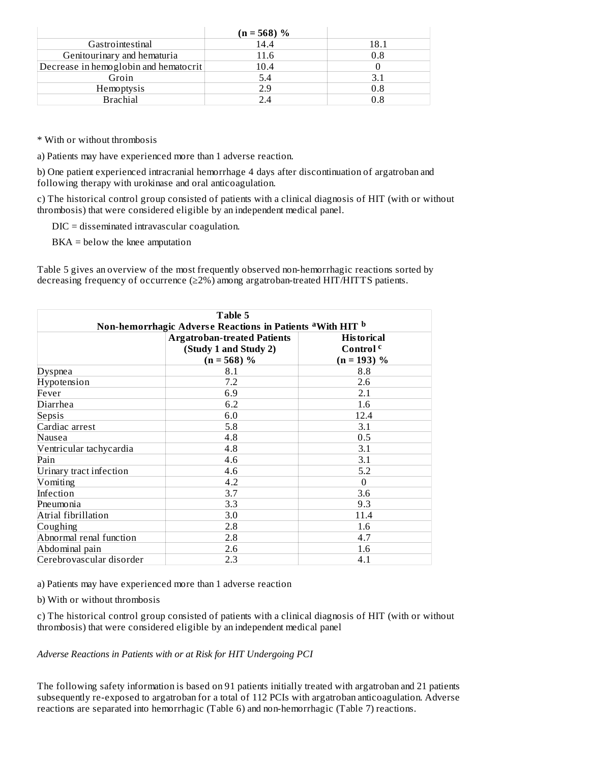|                                       | $(n = 568)$ % |      |
|---------------------------------------|---------------|------|
| Gastrointestinal                      | 14.4          | 18.1 |
| Genitourinary and hematuria           | 11.6          | 0.8  |
| Decrease in hemoglobin and hematocrit | 10.4          |      |
| Groin                                 | 5.4           |      |
| Hemoptysis                            | 2.9           | 0.8  |
| <b>Brachial</b>                       |               |      |

\* With or without thrombosis

a) Patients may have experienced more than 1 adverse reaction.

b) One patient experienced intracranial hemorrhage 4 days after discontinuation of argatroban and following therapy with urokinase and oral anticoagulation.

c) The historical control group consisted of patients with a clinical diagnosis of HIT (with or without thrombosis) that were considered eligible by an independent medical panel.

DIC = disseminated intravascular coagulation.

BKA = below the knee amputation

Table 5 gives an overview of the most frequently observed non-hemorrhagic reactions sorted by decreasing frequency of occurrence (≥2%) among argatroban-treated HIT/HITTS patients.

| Table 5<br>Non-hemorrhagic Adverse Reactions in Patients <sup>a</sup> With HIT <b>b</b>                                                    |     |          |  |  |  |  |
|--------------------------------------------------------------------------------------------------------------------------------------------|-----|----------|--|--|--|--|
| <b>Argatroban-treated Patients</b><br><b>Historical</b><br>Control <sup>c</sup><br>(Study 1 and Study 2)<br>$(n = 568)$ %<br>$(n = 193)$ % |     |          |  |  |  |  |
| <b>Dyspnea</b>                                                                                                                             | 8.1 | 8.8      |  |  |  |  |
| Hypotension                                                                                                                                | 7.2 | 2.6      |  |  |  |  |
| Fever                                                                                                                                      | 6.9 | 2.1      |  |  |  |  |
| Diarrhea                                                                                                                                   | 6.2 | 1.6      |  |  |  |  |
| Sepsis                                                                                                                                     | 6.0 | 12.4     |  |  |  |  |
| Cardiac arrest                                                                                                                             | 5.8 | 3.1      |  |  |  |  |
| Nausea                                                                                                                                     | 4.8 | 0.5      |  |  |  |  |
| Ventricular tachycardia                                                                                                                    | 4.8 | 3.1      |  |  |  |  |
| Pain                                                                                                                                       | 4.6 | 3.1      |  |  |  |  |
| Urinary tract infection                                                                                                                    | 4.6 | 5.2      |  |  |  |  |
| Vomiting                                                                                                                                   | 4.2 | $\theta$ |  |  |  |  |
| Infection                                                                                                                                  | 3.7 | 3.6      |  |  |  |  |
| Pneumonia                                                                                                                                  | 3.3 | 9.3      |  |  |  |  |
| Atrial fibrillation                                                                                                                        | 3.0 | 11.4     |  |  |  |  |
| Coughing                                                                                                                                   | 2.8 | 1.6      |  |  |  |  |
| Abnormal renal function                                                                                                                    | 2.8 | 4.7      |  |  |  |  |
| Abdominal pain                                                                                                                             | 2.6 | 1.6      |  |  |  |  |
| Cerebrovascular disorder                                                                                                                   | 2.3 | 4.1      |  |  |  |  |

a) Patients may have experienced more than 1 adverse reaction

b) With or without thrombosis

c) The historical control group consisted of patients with a clinical diagnosis of HIT (with or without thrombosis) that were considered eligible by an independent medical panel

*Adverse Reactions in Patients with or at Risk for HIT Undergoing PCI*

The following safety information is based on 91 patients initially treated with argatroban and 21 patients subsequently re-exposed to argatroban for a total of 112 PCIs with argatroban anticoagulation. Adverse reactions are separated into hemorrhagic (Table 6) and non-hemorrhagic (Table 7) reactions.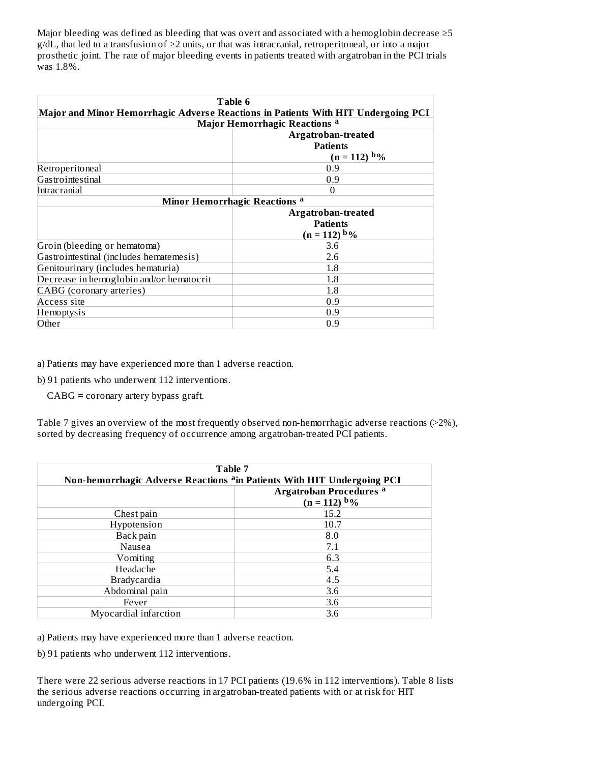Major bleeding was defined as bleeding that was overt and associated with a hemoglobin decrease ≥5 g/dL, that led to a transfusion of ≥2 units, or that was intracranial, retroperitoneal, or into a major prosthetic joint. The rate of major bleeding events in patients treated with argatroban in the PCI trials was 1.8%.

| Table 6                                  |                                                                                   |  |  |
|------------------------------------------|-----------------------------------------------------------------------------------|--|--|
|                                          | Major and Minor Hemorrhagic Adverse Reactions in Patients With HIT Undergoing PCI |  |  |
|                                          | Major Hemorrhagic Reactions a                                                     |  |  |
|                                          | Argatroban-treated<br><b>Patients</b>                                             |  |  |
|                                          | $(n = 112)$ b%                                                                    |  |  |
| Retroperitoneal                          | 0.9                                                                               |  |  |
| Gastrointestinal                         | 0.9                                                                               |  |  |
| Intracranial<br>$\Omega$                 |                                                                                   |  |  |
| Minor Hemorrhagic Reactions a            |                                                                                   |  |  |
|                                          | Argatroban-treated                                                                |  |  |
|                                          | <b>Patients</b>                                                                   |  |  |
|                                          | $(n = 112) b\%$                                                                   |  |  |
| Groin (bleeding or hematoma)             | 3.6                                                                               |  |  |
| Gastrointestinal (includes hematemesis)  | 2.6                                                                               |  |  |
| Genitourinary (includes hematuria)       | 1.8                                                                               |  |  |
| Decrease in hemoglobin and/or hematocrit | 1.8                                                                               |  |  |
| CABG (coronary arteries)                 | 1.8                                                                               |  |  |
| Access site                              | 0.9                                                                               |  |  |
| Hemoptysis                               | 0.9                                                                               |  |  |
| Other                                    | 0.9                                                                               |  |  |

a) Patients may have experienced more than 1 adverse reaction.

b) 91 patients who underwent 112 interventions.

CABG = coronary artery bypass graft.

Table 7 gives an overview of the most frequently observed non-hemorrhagic adverse reactions (>2%), sorted by decreasing frequency of occurrence among argatroban-treated PCI patients.

| Table 7<br>Non-hemorrhagic Adverse Reactions <sup>a</sup> in Patients With HIT Undergoing PCI |                                                  |  |  |
|-----------------------------------------------------------------------------------------------|--------------------------------------------------|--|--|
|                                                                                               | <b>Argatroban Procedures a</b><br>$(n = 112)$ b% |  |  |
| Chest pain                                                                                    | 15.2                                             |  |  |
| Hypotension                                                                                   | 10.7                                             |  |  |
| Back pain                                                                                     | 8.0                                              |  |  |
| Nausea                                                                                        | 7.1                                              |  |  |
| Vomiting                                                                                      | 6.3                                              |  |  |
| Headache                                                                                      | 5.4                                              |  |  |
| <b>Bradycardia</b>                                                                            | 4.5                                              |  |  |
| Abdominal pain                                                                                | 3.6                                              |  |  |
| Fever                                                                                         | 3.6                                              |  |  |
| Myocardial infarction                                                                         | 3.6                                              |  |  |

a) Patients may have experienced more than 1 adverse reaction.

b) 91 patients who underwent 112 interventions.

There were 22 serious adverse reactions in 17 PCI patients (19.6% in 112 interventions). Table 8 lists the serious adverse reactions occurring in argatroban-treated patients with or at risk for HIT undergoing PCI.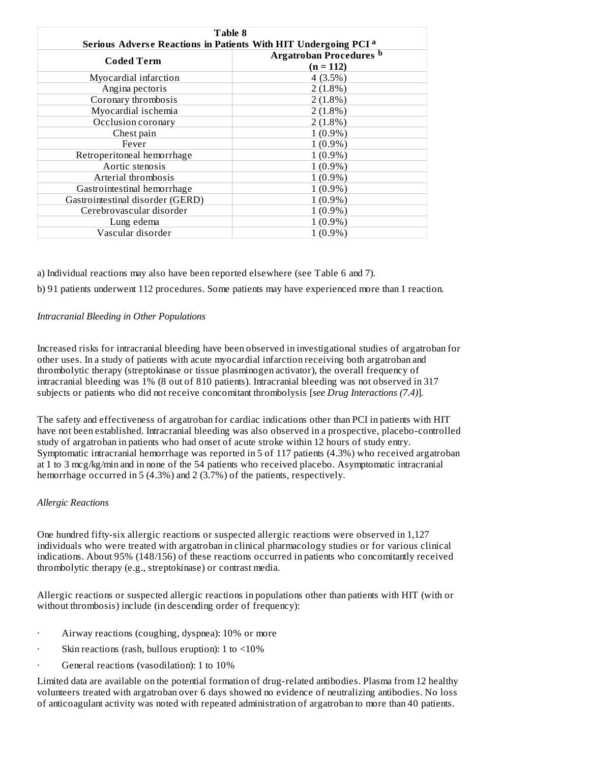| Table 8                                                                    |                                                   |  |  |  |
|----------------------------------------------------------------------------|---------------------------------------------------|--|--|--|
| Serious Adverse Reactions in Patients With HIT Undergoing PCI <sup>a</sup> |                                                   |  |  |  |
| Coded Term                                                                 | Argatroban Procedures <sup>b</sup><br>$(n = 112)$ |  |  |  |
| Myocardial infarction                                                      | 4(3.5%)                                           |  |  |  |
| Angina pectoris                                                            | $2(1.8\%)$                                        |  |  |  |
| Coronary thrombosis                                                        | $2(1.8\%)$                                        |  |  |  |
| Myocardial ischemia                                                        | $2(1.8\%)$                                        |  |  |  |
| Occlusion coronary                                                         | $2(1.8\%)$                                        |  |  |  |
| Chest pain                                                                 | $1(0.9\%)$                                        |  |  |  |
| Fever                                                                      | $1(0.9\%)$                                        |  |  |  |
| Retroperitoneal hemorrhage                                                 | $1(0.9\%)$                                        |  |  |  |
| Aortic stenosis                                                            | $1(0.9\%)$                                        |  |  |  |
| Arterial thrombosis                                                        | $1(0.9\%)$                                        |  |  |  |
| Gastrointestinal hemorrhage                                                | $1(0.9\%)$                                        |  |  |  |
| Gastrointestinal disorder (GERD)                                           | $1(0.9\%)$                                        |  |  |  |
| Cerebrovascular disorder                                                   | $1(0.9\%)$                                        |  |  |  |
| Lung edema                                                                 | $1(0.9\%)$                                        |  |  |  |
| Vascular disorder                                                          | $1(0.9\%)$                                        |  |  |  |

a) Individual reactions may also have been reported elsewhere (see Table 6 and 7).

b) 91 patients underwent 112 procedures. Some patients may have experienced more than 1 reaction.

#### *Intracranial Bleeding in Other Populations*

Increased risks for intracranial bleeding have been observed in investigational studies of argatroban for other uses. In a study of patients with acute myocardial infarction receiving both argatroban and thrombolytic therapy (streptokinase or tissue plasminogen activator), the overall frequency of intracranial bleeding was 1% (8 out of 810 patients). Intracranial bleeding was not observed in 317 subjects or patients who did not receive concomitant thrombolysis [*see Drug Interactions (7.4)*]*.*

The safety and effectiveness of argatroban for cardiac indications other than PCI in patients with HIT have not been established. Intracranial bleeding was also observed in a prospective, placebo-controlled study of argatroban in patients who had onset of acute stroke within 12 hours of study entry. Symptomatic intracranial hemorrhage was reported in 5 of 117 patients (4.3%) who received argatroban at 1 to 3 mcg/kg/min and in none of the 54 patients who received placebo. Asymptomatic intracranial hemorrhage occurred in 5 (4.3%) and 2 (3.7%) of the patients, respectively.

#### *Allergic Reactions*

One hundred fifty-six allergic reactions or suspected allergic reactions were observed in 1,127 individuals who were treated with argatroban in clinical pharmacology studies or for various clinical indications. About 95% (148/156) of these reactions occurred in patients who concomitantly received thrombolytic therapy (e.g., streptokinase) or contrast media.

Allergic reactions or suspected allergic reactions in populations other than patients with HIT (with or without thrombosis) include (in descending order of frequency):

- Airway reactions (coughing, dyspnea): 10% or more
- Skin reactions (rash, bullous eruption): 1 to  $\leq 10\%$
- General reactions (vasodilation): 1 to 10%

Limited data are available on the potential formation of drug-related antibodies. Plasma from 12 healthy volunteers treated with argatroban over 6 days showed no evidence of neutralizing antibodies. No loss of anticoagulant activity was noted with repeated administration of argatroban to more than 40 patients.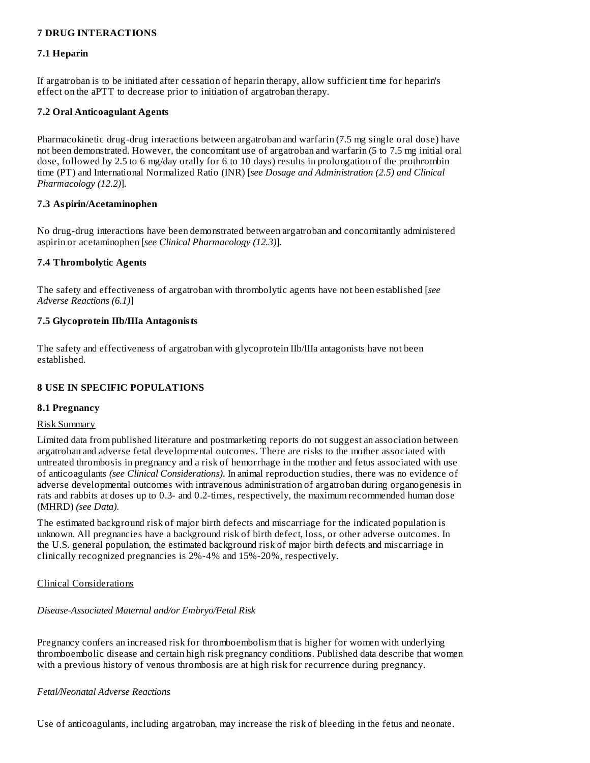### **7 DRUG INTERACTIONS**

#### **7.1 Heparin**

If argatroban is to be initiated after cessation of heparin therapy, allow sufficient time for heparin's effect on the aPTT to decrease prior to initiation of argatroban therapy.

### **7.2 Oral Anticoagulant Agents**

Pharmacokinetic drug-drug interactions between argatroban and warfarin (7.5 mg single oral dose) have not been demonstrated. However, the concomitant use of argatroban and warfarin (5 to 7.5 mg initial oral dose, followed by 2.5 to 6 mg/day orally for 6 to 10 days) results in prolongation of the prothrombin time (PT) and International Normalized Ratio (INR) [*see Dosage and Administration (2.5) and Clinical Pharmacology (12.2)*].

### **7.3 Aspirin/Acetaminophen**

No drug-drug interactions have been demonstrated between argatroban and concomitantly administered aspirin or acetaminophen [*see Clinical Pharmacology (12.3)*]*.*

### **7.4 Thrombolytic Agents**

The safety and effectiveness of argatroban with thrombolytic agents have not been established [*see Adverse Reactions (6.1)*]

### **7.5 Glycoprotein IIb/IIIa Antagonists**

The safety and effectiveness of argatroban with glycoprotein IIb/IIIa antagonists have not been established.

# **8 USE IN SPECIFIC POPULATIONS**

#### **8.1 Pregnancy**

#### Risk Summary

Limited data from published literature and postmarketing reports do not suggest an association between argatroban and adverse fetal developmental outcomes. There are risks to the mother associated with untreated thrombosis in pregnancy and a risk of hemorrhage in the mother and fetus associated with use of anticoagulants *(see Clinical Considerations)*. In animal reproduction studies, there was no evidence of adverse developmental outcomes with intravenous administration of argatroban during organogenesis in rats and rabbits at doses up to 0.3- and 0.2-times, respectively, the maximum recommended human dose (MHRD) *(see Data)*.

The estimated background risk of major birth defects and miscarriage for the indicated population is unknown. All pregnancies have a background risk of birth defect, loss, or other adverse outcomes. In the U.S. general population, the estimated background risk of major birth defects and miscarriage in clinically recognized pregnancies is 2%-4% and 15%-20%, respectively.

#### Clinical Considerations

#### *Disease-Associated Maternal and/or Embryo/Fetal Risk*

Pregnancy confers an increased risk for thromboembolism that is higher for women with underlying thromboembolic disease and certain high risk pregnancy conditions. Published data describe that women with a previous history of venous thrombosis are at high risk for recurrence during pregnancy.

*Fetal/Neonatal Adverse Reactions*

Use of anticoagulants, including argatroban, may increase the risk of bleeding in the fetus and neonate.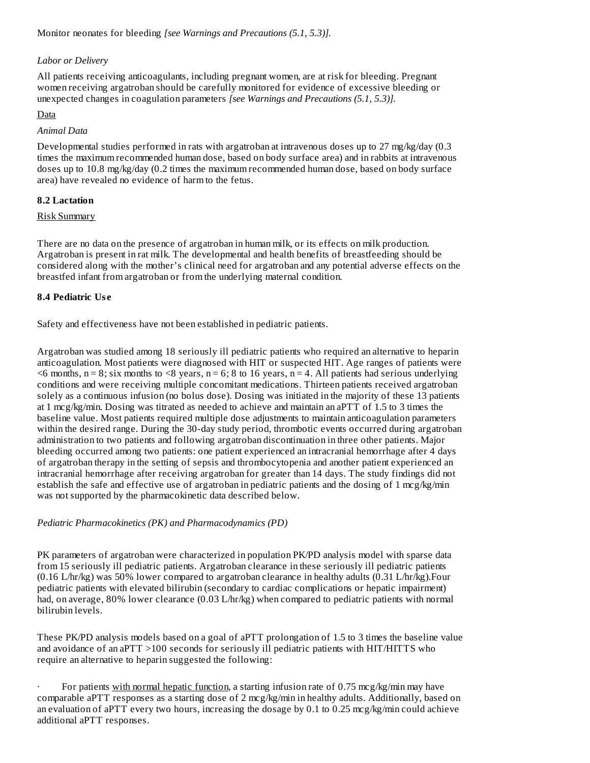Monitor neonates for bleeding *[see Warnings and Precautions (5.1, 5.3)].*

### *Labor or Delivery*

All patients receiving anticoagulants, including pregnant women, are at risk for bleeding. Pregnant women receiving argatroban should be carefully monitored for evidence of excessive bleeding or unexpected changes in coagulation parameters *[see Warnings and Precautions (5.1, 5.3)].*

### Data

### *Animal Data*

Developmental studies performed in rats with argatroban at intravenous doses up to 27 mg/kg/day (0.3 times the maximum recommended human dose, based on body surface area) and in rabbits at intravenous doses up to 10.8 mg/kg/day (0.2 times the maximum recommended human dose, based on body surface area) have revealed no evidence of harm to the fetus.

# **8.2 Lactation**

### Risk Summary

There are no data on the presence of argatroban in human milk, or its effects on milk production. Argatroban is present in rat milk. The developmental and health benefits of breastfeeding should be considered along with the mother's clinical need for argatroban and any potential adverse effects on the breastfed infant from argatroban or from the underlying maternal condition.

### **8.4 Pediatric Us e**

Safety and effectiveness have not been established in pediatric patients.

Argatroban was studied among 18 seriously ill pediatric patients who required an alternative to heparin anticoagulation. Most patients were diagnosed with HIT or suspected HIT. Age ranges of patients were  $\leq$ 6 months, n = 8; six months to  $\leq$ 8 years, n = 6; 8 to 16 years, n = 4. All patients had serious underlying conditions and were receiving multiple concomitant medications. Thirteen patients received argatroban solely as a continuous infusion (no bolus dose). Dosing was initiated in the majority of these 13 patients at 1 mcg/kg/min. Dosing was titrated as needed to achieve and maintain an aPTT of 1.5 to 3 times the baseline value. Most patients required multiple dose adjustments to maintain anticoagulation parameters within the desired range. During the 30-day study period, thrombotic events occurred during argatroban administration to two patients and following argatroban discontinuation in three other patients. Major bleeding occurred among two patients: one patient experienced an intracranial hemorrhage after 4 days of argatroban therapy in the setting of sepsis and thrombocytopenia and another patient experienced an intracranial hemorrhage after receiving argatroban for greater than 14 days. The study findings did not establish the safe and effective use of argatroban in pediatric patients and the dosing of 1 mcg/kg/min was not supported by the pharmacokinetic data described below.

*Pediatric Pharmacokinetics (PK) and Pharmacodynamics (PD)*

PK parameters of argatroban were characterized in population PK/PD analysis model with sparse data from 15 seriously ill pediatric patients. Argatroban clearance in these seriously ill pediatric patients (0.16 L/hr/kg) was 50% lower compared to argatroban clearance in healthy adults (0.31 L/hr/kg).Four pediatric patients with elevated bilirubin (secondary to cardiac complications or hepatic impairment) had, on average, 80% lower clearance (0.03 L/hr/kg) when compared to pediatric patients with normal bilirubin levels.

These PK/PD analysis models based on a goal of aPTT prolongation of 1.5 to 3 times the baseline value and avoidance of an aPTT >100 seconds for seriously ill pediatric patients with HIT/HITTS who require an alternative to heparin suggested the following:

For patients with normal hepatic function, a starting infusion rate of  $0.75 \text{~mg/kg/min}$  may have comparable aPTT responses as a starting dose of 2 mcg/kg/min in healthy adults. Additionally, based on an evaluation of aPTT every two hours, increasing the dosage by 0.1 to 0.25 mcg/kg/min could achieve additional aPTT responses.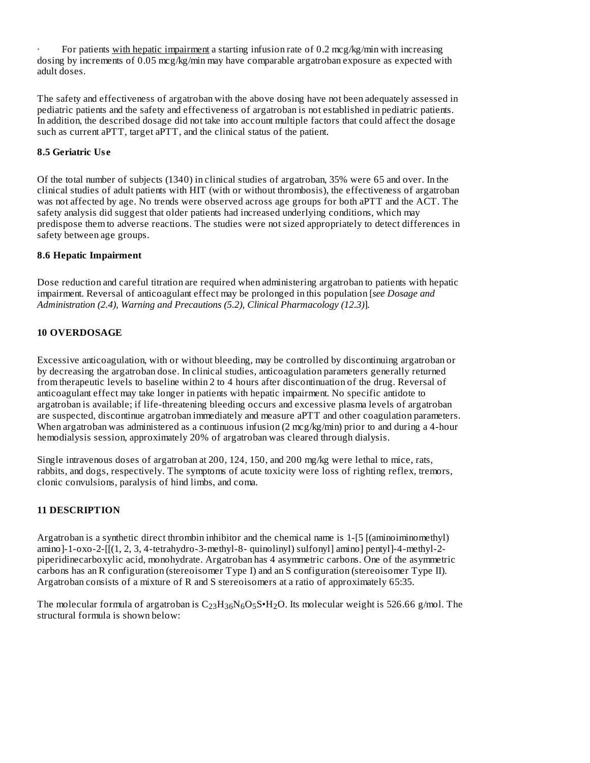For patients with hepatic impairment a starting infusion rate of 0.2 mcg/kg/min with increasing dosing by increments of 0.05 mcg/kg/min may have comparable argatroban exposure as expected with adult doses.

The safety and effectiveness of argatroban with the above dosing have not been adequately assessed in pediatric patients and the safety and effectiveness of argatroban is not established in pediatric patients. In addition, the described dosage did not take into account multiple factors that could affect the dosage such as current aPTT, target aPTT, and the clinical status of the patient.

# **8.5 Geriatric Us e**

Of the total number of subjects (1340) in clinical studies of argatroban, 35% were 65 and over. In the clinical studies of adult patients with HIT (with or without thrombosis), the effectiveness of argatroban was not affected by age. No trends were observed across age groups for both aPTT and the ACT. The safety analysis did suggest that older patients had increased underlying conditions, which may predispose them to adverse reactions. The studies were not sized appropriately to detect differences in safety between age groups.

# **8.6 Hepatic Impairment**

Dose reduction and careful titration are required when administering argatroban to patients with hepatic impairment. Reversal of anticoagulant effect may be prolonged in this population [*see Dosage and Administration (2.4), Warning and Precautions (5.2), Clinical Pharmacology (12.3)*]*.*

# **10 OVERDOSAGE**

Excessive anticoagulation, with or without bleeding, may be controlled by discontinuing argatroban or by decreasing the argatroban dose. In clinical studies, anticoagulation parameters generally returned from therapeutic levels to baseline within 2 to 4 hours after discontinuation of the drug. Reversal of anticoagulant effect may take longer in patients with hepatic impairment. No specific antidote to argatroban is available; if life-threatening bleeding occurs and excessive plasma levels of argatroban are suspected, discontinue argatroban immediately and measure aPTT and other coagulation parameters. When argatroban was administered as a continuous infusion (2 mcg/kg/min) prior to and during a 4-hour hemodialysis session, approximately 20% of argatroban was cleared through dialysis.

Single intravenous doses of argatroban at 200, 124, 150, and 200 mg/kg were lethal to mice, rats, rabbits, and dogs, respectively. The symptoms of acute toxicity were loss of righting reflex, tremors, clonic convulsions, paralysis of hind limbs, and coma.

# **11 DESCRIPTION**

Argatroban is a synthetic direct thrombin inhibitor and the chemical name is 1-[5 [(aminoiminomethyl) amino]-1-oxo-2-[[(1, 2, 3, 4-tetrahydro-3-methyl-8- quinolinyl) sulfonyl] amino] pentyl]-4-methyl-2 piperidinecarboxylic acid, monohydrate. Argatroban has 4 asymmetric carbons. One of the asymmetric carbons has an R configuration (stereoisomer Type I) and an S configuration (stereoisomer Type II). Argatroban consists of a mixture of R and S stereoisomers at a ratio of approximately 65:35.

The molecular formula of argatroban is  $\rm C_{23}H_{36}N_6O_5S\bullet H_2O.$  Its molecular weight is 526.66 g/mol. The structural formula is shown below: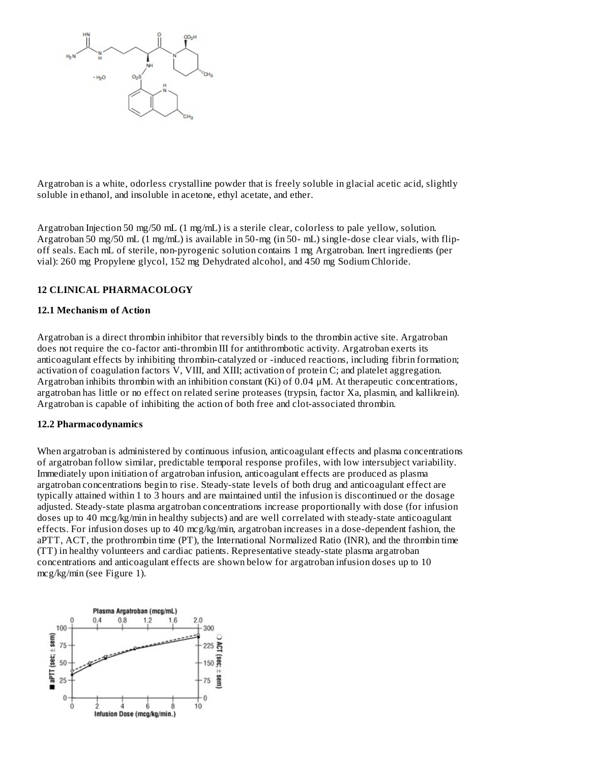

Argatroban is a white, odorless crystalline powder that is freely soluble in glacial acetic acid, slightly soluble in ethanol, and insoluble in acetone, ethyl acetate, and ether.

Argatroban Injection 50 mg/50 mL (1 mg/mL) is a sterile clear, colorless to pale yellow, solution. Argatroban 50 mg/50 mL (1 mg/mL) is available in 50-mg (in 50- mL) single-dose clear vials, with flipoff seals. Each mL of sterile, non-pyrogenic solution contains 1 mg Argatroban. Inert ingredients (per vial): 260 mg Propylene glycol, 152 mg Dehydrated alcohol, and 450 mg Sodium Chloride.

#### **12 CLINICAL PHARMACOLOGY**

#### **12.1 Mechanism of Action**

Argatroban is a direct thrombin inhibitor that reversibly binds to the thrombin active site. Argatroban does not require the co-factor anti-thrombin III for antithrombotic activity. Argatroban exerts its anticoagulant effects by inhibiting thrombin-catalyzed or -induced reactions, including fibrin formation; activation of coagulation factors V, VIII, and XIII; activation of protein C; and platelet aggregation. Argatroban inhibits thrombin with an inhibition constant (Ki) of  $0.04 \mu$ M. At therapeutic concentrations, argatroban has little or no effect on related serine proteases (trypsin, factor Xa, plasmin, and kallikrein). Argatroban is capable of inhibiting the action of both free and clot-associated thrombin.

#### **12.2 Pharmacodynamics**

When argatroban is administered by continuous infusion, anticoagulant effects and plasma concentrations of argatroban follow similar, predictable temporal response profiles, with low intersubject variability. Immediately upon initiation of argatroban infusion, anticoagulant effects are produced as plasma argatroban concentrations begin to rise. Steady-state levels of both drug and anticoagulant effect are typically attained within 1 to 3 hours and are maintained until the infusion is discontinued or the dosage adjusted. Steady-state plasma argatroban concentrations increase proportionally with dose (for infusion doses up to 40 mcg/kg/min in healthy subjects) and are well correlated with steady-state anticoagulant effects. For infusion doses up to 40 mcg/kg/min, argatroban increases in a dose-dependent fashion, the aPTT, ACT, the prothrombin time (PT), the International Normalized Ratio (INR), and the thrombin time (TT) in healthy volunteers and cardiac patients. Representative steady-state plasma argatroban concentrations and anticoagulant effects are shown below for argatroban infusion doses up to 10 mcg/kg/min (see Figure 1).

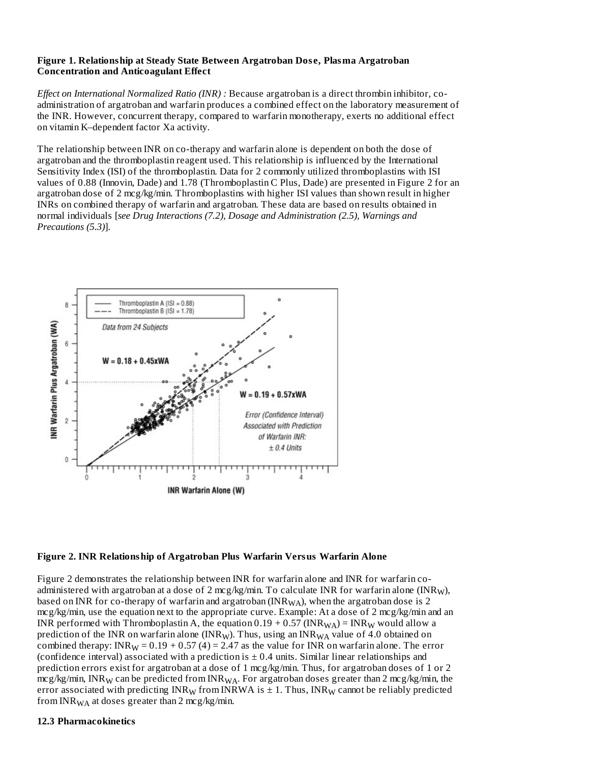#### **Figure 1. Relationship at Steady State Between Argatroban Dos e, Plasma Argatroban Concentration and Anticoagulant Effect**

*Effect on International Normalized Ratio (INR) :* Because argatroban is a direct thrombin inhibitor, coadministration of argatroban and warfarin produces a combined effect on the laboratory measurement of the INR. However, concurrent therapy, compared to warfarin monotherapy, exerts no additional effect on vitamin K–dependent factor Xa activity.

The relationship between INR on co-therapy and warfarin alone is dependent on both the dose of argatroban and the thromboplastin reagent used. This relationship is influenced by the International Sensitivity Index (ISI) of the thromboplastin. Data for 2 commonly utilized thromboplastins with ISI values of 0.88 (Innovin, Dade) and 1.78 (Thromboplastin C Plus, Dade) are presented in Figure 2 for an argatroban dose of 2 mcg/kg/min. Thromboplastins with higher ISI values than shown result in higher INRs on combined therapy of warfarin and argatroban. These data are based on results obtained in normal individuals [*see Drug Interactions (7.2), Dosage and Administration (2.5), Warnings and Precautions (5.3)*].





Figure 2 demonstrates the relationship between INR for warfarin alone and INR for warfarin coadministered with argatroban at a dose of 2 mcg/kg/min. To calculate INR for warfarin alone (INR<sub>W</sub>), based on INR for co-therapy of warfarin and argatroban (INR $_{\rm WA}$ ), when the argatroban dose is 2 mcg/kg/min, use the equation next to the appropriate curve. Example: At a dose of 2 mcg/kg/min and an INR performed with Thromboplastin A, the equation 0.19 + 0.57 (INR $_{\rm WA}$ ) = INR $_{\rm W}$  would allow a prediction of the INR on warfarin alone (INR<sub>W</sub>). Thus, using an INR<sub>WA</sub> value of 4.0 obtained on combined therapy: INR<sub>W</sub> =  $0.19 + 0.57$  (4) = 2.47 as the value for INR on warfarin alone. The error (confidence interval) associated with a prediction is  $\pm$  0.4 units. Similar linear relationships and prediction errors exist for argatroban at a dose of 1 mcg/kg/min. Thus, for argatroban doses of 1 or 2 mcg/kg/min, INR $_{\rm W}$  can be predicted from INR $_{\rm WA}$ . For argatroban doses greater than 2 mcg/kg/min, the error associated with predicting  $\mathtt{INR}_\mathsf{W}$  from  $\mathtt{INRWA}$  is  $\pm$  1. Thus,  $\mathtt{INR}_\mathsf{W}$  cannot be reliably predicted from INR $_{\rm WA}$  at doses greater than 2 mcg/kg/min.

#### **12.3 Pharmacokinetics**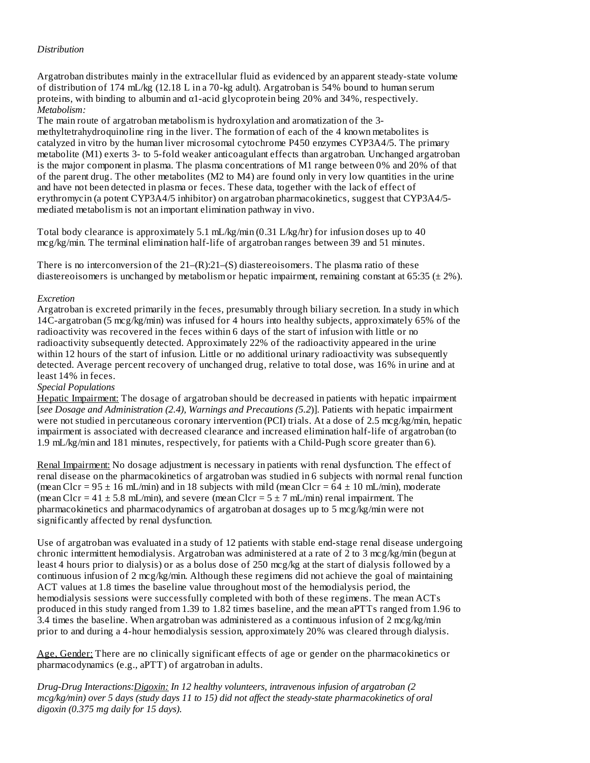### *Distribution*

Argatroban distributes mainly in the extracellular fluid as evidenced by an apparent steady-state volume of distribution of 174 mL/kg (12.18 L in a 70-kg adult). Argatroban is 54% bound to human serum proteins, with binding to albumin and  $\alpha$ 1-acid glycoprotein being 20% and 34%, respectively. *Metabolism:*

The main route of argatroban metabolism is hydroxylation and aromatization of the 3 methyltetrahydroquinoline ring in the liver. The formation of each of the 4 known metabolites is catalyzed in vitro by the human liver microsomal cytochrome P450 enzymes CYP3A4/5. The primary metabolite (M1) exerts 3- to 5-fold weaker anticoagulant effects than argatroban. Unchanged argatroban is the major component in plasma. The plasma concentrations of M1 range between 0% and 20% of that of the parent drug. The other metabolites (M2 to M4) are found only in very low quantities in the urine and have not been detected in plasma or feces. These data, together with the lack of effect of erythromycin (a potent CYP3A4/5 inhibitor) on argatroban pharmacokinetics, suggest that CYP3A4/5 mediated metabolism is not an important elimination pathway in vivo.

Total body clearance is approximately 5.1 mL/kg/min (0.31 L/kg/hr) for infusion doses up to 40 mcg/kg/min. The terminal elimination half-life of argatroban ranges between 39 and 51 minutes.

There is no interconversion of the  $21-(R)$ : $21-(S)$  diastereoisomers. The plasma ratio of these diastereoisomers is unchanged by metabolism or hepatic impairment, remaining constant at 65:35 ( $\pm$  2%).

#### *Excretion*

Argatroban is excreted primarily in the feces, presumably through biliary secretion. In a study in which 14C-argatroban (5 mcg/kg/min) was infused for 4 hours into healthy subjects, approximately 65% of the radioactivity was recovered in the feces within 6 days of the start of infusion with little or no radioactivity subsequently detected. Approximately 22% of the radioactivity appeared in the urine within 12 hours of the start of infusion. Little or no additional urinary radioactivity was subsequently detected. Average percent recovery of unchanged drug, relative to total dose, was 16% in urine and at least 14% in feces.

#### *Special Populations*

Hepatic Impairment: The dosage of argatroban should be decreased in patients with hepatic impairment [*see Dosage and Administration (2.4), Warnings and Precautions (5.2*)]. Patients with hepatic impairment were not studied in percutaneous coronary intervention (PCI) trials. At a dose of 2.5 mcg/kg/min, hepatic impairment is associated with decreased clearance and increased elimination half-life of argatroban (to 1.9 mL/kg/min and 181 minutes, respectively, for patients with a Child-Pugh score greater than 6).

Renal Impairment: No dosage adjustment is necessary in patients with renal dysfunction. The effect of renal disease on the pharmacokinetics of argatroban was studied in 6 subjects with normal renal function (mean Clcr =  $95 \pm 16$  mL/min) and in 18 subjects with mild (mean Clcr =  $64 \pm 10$  mL/min), moderate (mean Clcr =  $41 \pm 5.8$  mL/min), and severe (mean Clcr =  $5 \pm 7$  mL/min) renal impairment. The pharmacokinetics and pharmacodynamics of argatroban at dosages up to 5 mcg/kg/min were not significantly affected by renal dysfunction.

Use of argatroban was evaluated in a study of 12 patients with stable end-stage renal disease undergoing chronic intermittent hemodialysis. Argatroban was administered at a rate of 2 to 3 mcg/kg/min (begun at least 4 hours prior to dialysis) or as a bolus dose of 250 mcg/kg at the start of dialysis followed by a continuous infusion of 2 mcg/kg/min. Although these regimens did not achieve the goal of maintaining ACT values at 1.8 times the baseline value throughout most of the hemodialysis period, the hemodialysis sessions were successfully completed with both of these regimens. The mean ACTs produced in this study ranged from 1.39 to 1.82 times baseline, and the mean aPTTs ranged from 1.96 to 3.4 times the baseline. When argatroban was administered as a continuous infusion of 2 mcg/kg/min prior to and during a 4-hour hemodialysis session, approximately 20% was cleared through dialysis.

Age, Gender: There are no clinically significant effects of age or gender on the pharmacokinetics or pharmacodynamics (e.g., aPTT) of argatroban in adults.

*Drug-Drug Interactions:Digoxin: In 12 healthy volunteers, intravenous infusion of argatroban (2 mcg/kg/min) over 5 days (study days 11 to 15) did not affect the steady-state pharmacokinetics of oral digoxin (0.375 mg daily for 15 days).*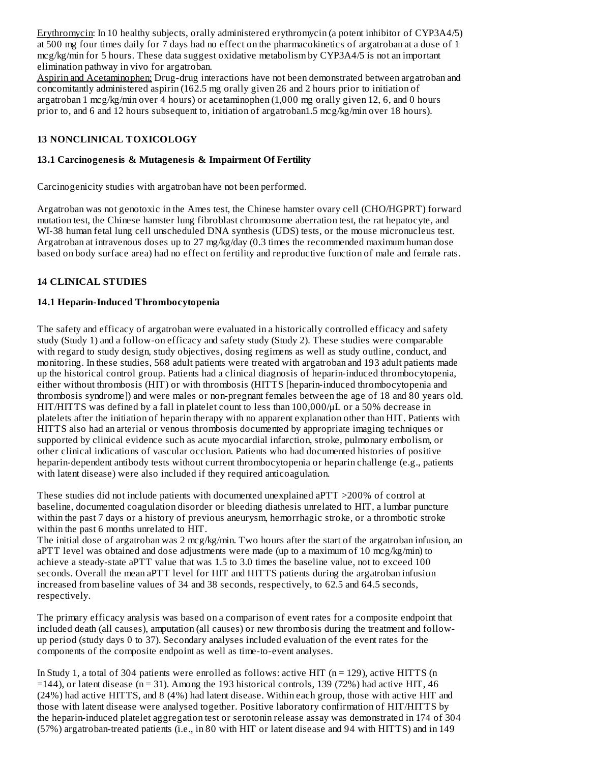Erythromycin: In 10 healthy subjects, orally administered erythromycin (a potent inhibitor of CYP3A4/5) at 500 mg four times daily for 7 days had no effect on the pharmacokinetics of argatroban at a dose of 1 mcg/kg/min for 5 hours. These data suggest oxidative metabolism by CYP3A4/5 is not an important elimination pathway in vivo for argatroban.

Aspirin and Acetaminophen: Drug-drug interactions have not been demonstrated between argatroban and concomitantly administered aspirin (162.5 mg orally given 26 and 2 hours prior to initiation of argatroban 1 mcg/kg/min over 4 hours) or acetaminophen (1,000 mg orally given 12, 6, and 0 hours prior to, and 6 and 12 hours subsequent to, initiation of argatroban1.5 mcg/kg/min over 18 hours).

### **13 NONCLINICAL TOXICOLOGY**

### **13.1 Carcinogenesis & Mutagenesis & Impairment Of Fertility**

Carcinogenicity studies with argatroban have not been performed.

Argatroban was not genotoxic in the Ames test, the Chinese hamster ovary cell (CHO/HGPRT) forward mutation test, the Chinese hamster lung fibroblast chromosome aberration test, the rat hepatocyte, and WI-38 human fetal lung cell unscheduled DNA synthesis (UDS) tests, or the mouse micronucleus test. Argatroban at intravenous doses up to 27 mg/kg/day (0.3 times the recommended maximum human dose based on body surface area) had no effect on fertility and reproductive function of male and female rats.

# **14 CLINICAL STUDIES**

### **14.1 Heparin-Induced Thrombocytopenia**

The safety and efficacy of argatroban were evaluated in a historically controlled efficacy and safety study (Study 1) and a follow-on efficacy and safety study (Study 2). These studies were comparable with regard to study design, study objectives, dosing regimens as well as study outline, conduct, and monitoring. In these studies, 568 adult patients were treated with argatroban and 193 adult patients made up the historical control group. Patients had a clinical diagnosis of heparin-induced thrombocytopenia, either without thrombosis (HIT) or with thrombosis (HITTS [heparin-induced thrombocytopenia and thrombosis syndrome]) and were males or non-pregnant females between the age of 18 and 80 years old. HIT/HITTS was defined by a fall in platelet count to less than 100,000/μL or a 50% decrease in platelets after the initiation of heparin therapy with no apparent explanation other than HIT. Patients with HITTS also had an arterial or venous thrombosis documented by appropriate imaging techniques or supported by clinical evidence such as acute myocardial infarction, stroke, pulmonary embolism, or other clinical indications of vascular occlusion. Patients who had documented histories of positive heparin-dependent antibody tests without current thrombocytopenia or heparin challenge (e.g., patients with latent disease) were also included if they required anticoagulation.

These studies did not include patients with documented unexplained aPTT >200% of control at baseline, documented coagulation disorder or bleeding diathesis unrelated to HIT, a lumbar puncture within the past 7 days or a history of previous aneurysm, hemorrhagic stroke, or a thrombotic stroke within the past 6 months unrelated to HIT.

The initial dose of argatroban was 2 mcg/kg/min. Two hours after the start of the argatroban infusion, an aPTT level was obtained and dose adjustments were made (up to a maximum of 10 mcg/kg/min) to achieve a steady-state aPTT value that was 1.5 to 3.0 times the baseline value, not to exceed 100 seconds. Overall the mean aPTT level for HIT and HITTS patients during the argatroban infusion increased from baseline values of 34 and 38 seconds, respectively, to 62.5 and 64.5 seconds, respectively.

The primary efficacy analysis was based on a comparison of event rates for a composite endpoint that included death (all causes), amputation (all causes) or new thrombosis during the treatment and followup period (study days 0 to 37). Secondary analyses included evaluation of the event rates for the components of the composite endpoint as well as time-to-event analyses.

In Study 1, a total of 304 patients were enrolled as follows: active HIT ( $n = 129$ ), active HITTS ( $n$ )  $=$ 144), or latent disease (n = 31). Among the 193 historical controls, 139 (72%) had active HIT, 46 (24%) had active HITTS, and 8 (4%) had latent disease. Within each group, those with active HIT and those with latent disease were analysed together. Positive laboratory confirmation of HIT/HITTS by the heparin-induced platelet aggregation test or serotonin release assay was demonstrated in 174 of 304 (57%) argatroban-treated patients (i.e., in 80 with HIT or latent disease and 94 with HITTS) and in 149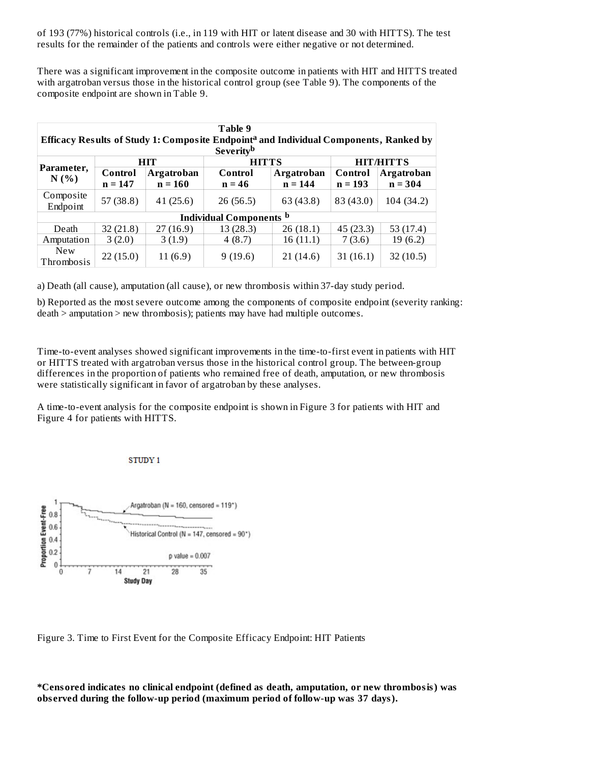of 193 (77%) historical controls (i.e., in 119 with HIT or latent disease and 30 with HITTS). The test results for the remainder of the patients and controls were either negative or not determined.

There was a significant improvement in the composite outcome in patients with HIT and HITTS treated with argatroban versus those in the historical control group (see Table 9). The components of the composite endpoint are shown in Table 9.

| Table 9<br>Efficacy Results of Study 1: Composite Endpoint <sup>a</sup> and Individual Components, Ranked by<br><b>Severity</b> <sup>b</sup> |                      |                         |                     |                                |                      |                                |
|----------------------------------------------------------------------------------------------------------------------------------------------|----------------------|-------------------------|---------------------|--------------------------------|----------------------|--------------------------------|
|                                                                                                                                              |                      | HIT                     | <b>HITTS</b>        |                                |                      | <b>HIT/HITTS</b>               |
| Parameter,<br>N(%)                                                                                                                           | Control<br>$n = 147$ | Argatroban<br>$n = 160$ | Control<br>$n = 46$ | <b>Argatroban</b><br>$n = 144$ | Control<br>$n = 193$ | <b>Argatroban</b><br>$n = 304$ |
| Composite<br>Endpoint                                                                                                                        | 57(38.8)             | 41(25.6)                | 26(56.5)            | 63 (43.8)                      | 83 (43.0)            | 104 (34.2)                     |
| <b>Individual Components</b> b                                                                                                               |                      |                         |                     |                                |                      |                                |
| Death                                                                                                                                        | 32(21.8)             | 27(16.9)                | 13(28.3)            | 26(18.1)                       | 45(23.3)             | 53 $(17.4)$                    |
| Amputation                                                                                                                                   | 3(2.0)               | 3(1.9)                  | 4(8.7)              | 16 (11.1)                      | 7(3.6)               | 19(6.2)                        |
| <b>New</b><br>Thrombosis                                                                                                                     | 22(15.0)             | 11(6.9)                 | 9(19.6)             | 21 (14.6)                      | 31 (16.1)            | 32(10.5)                       |

a) Death (all cause), amputation (all cause), or new thrombosis within 37-day study period.

b) Reported as the most severe outcome among the components of composite endpoint (severity ranking: death > amputation > new thrombosis); patients may have had multiple outcomes.

Time-to-event analyses showed significant improvements in the time-to-first event in patients with HIT or HITTS treated with argatroban versus those in the historical control group. The between-group differences in the proportion of patients who remained free of death, amputation, or new thrombosis were statistically significant in favor of argatroban by these analyses.

A time-to-event analysis for the composite endpoint is shown in Figure 3 for patients with HIT and Figure 4 for patients with HITTS.

**STUDY 1** 



Figure 3. Time to First Event for the Composite Efficacy Endpoint: HIT Patients

**\*Censored indicates no clinical endpoint (defined as death, amputation, or new thrombosis) was obs erved during the follow-up period (maximum period of follow-up was 37 days).**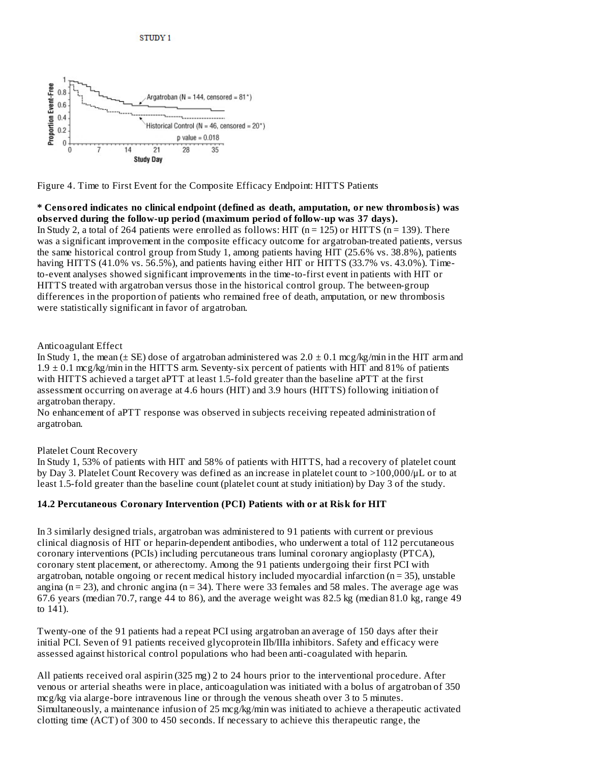

Figure 4. Time to First Event for the Composite Efficacy Endpoint: HITTS Patients

**\* Censored indicates no clinical endpoint (defined as death, amputation, or new thrombosis) was obs erved during the follow-up period (maximum period of follow-up was 37 days).** In Study 2, a total of 264 patients were enrolled as follows: HIT ( $n = 125$ ) or HITTS ( $n = 139$ ). There was a significant improvement in the composite efficacy outcome for argatroban-treated patients, versus the same historical control group from Study 1, among patients having HIT (25.6% vs. 38.8%), patients having HITTS (41.0% vs. 56.5%), and patients having either HIT or HITTS (33.7% vs. 43.0%). Timeto-event analyses showed significant improvements in the time-to-first event in patients with HIT or HITTS treated with argatroban versus those in the historical control group. The between-group differences in the proportion of patients who remained free of death, amputation, or new thrombosis were statistically significant in favor of argatroban.

#### Anticoagulant Effect

In Study 1, the mean ( $\pm$  SE) dose of argatroban administered was  $2.0 \pm 0.1$  mcg/kg/min in the HIT arm and 1.9 ± 0.1 mcg/kg/min in the HITTS arm. Seventy-six percent of patients with HIT and 81% of patients with HITTS achieved a target aPTT at least 1.5-fold greater than the baseline aPTT at the first assessment occurring on average at 4.6 hours (HIT) and 3.9 hours (HITTS) following initiation of argatroban therapy.

No enhancement of aPTT response was observed in subjects receiving repeated administration of argatroban.

# Platelet Count Recovery

In Study 1, 53% of patients with HIT and 58% of patients with HITTS, had a recovery of platelet count by Day 3. Platelet Count Recovery was defined as an increase in platelet count to >100,000/μL or to at least 1.5-fold greater than the baseline count (platelet count at study initiation) by Day 3 of the study.

# **14.2 Percutaneous Coronary Intervention (PCI) Patients with or at Risk for HIT**

In 3 similarly designed trials, argatroban was administered to 91 patients with current or previous clinical diagnosis of HIT or heparin-dependent antibodies, who underwent a total of 112 percutaneous coronary interventions (PCIs) including percutaneous trans luminal coronary angioplasty (PTCA), coronary stent placement, or atherectomy. Among the 91 patients undergoing their first PCI with argatroban, notable ongoing or recent medical history included myocardial infarction ( $n = 35$ ), unstable angina ( $n = 23$ ), and chronic angina ( $n = 34$ ). There were 33 females and 58 males. The average age was 67.6 years (median 70.7, range 44 to 86), and the average weight was 82.5 kg (median 81.0 kg, range 49 to 141).

Twenty-one of the 91 patients had a repeat PCI using argatroban an average of 150 days after their initial PCI. Seven of 91 patients received glycoprotein IIb/IIIa inhibitors. Safety and efficacy were assessed against historical control populations who had been anti-coagulated with heparin.

All patients received oral aspirin (325 mg) 2 to 24 hours prior to the interventional procedure. After venous or arterial sheaths were in place, anticoagulation was initiated with a bolus of argatroban of 350 mcg/kg via alarge-bore intravenous line or through the venous sheath over 3 to 5 minutes. Simultaneously, a maintenance infusion of 25 mcg/kg/min was initiated to achieve a therapeutic activated clotting time (ACT) of 300 to 450 seconds. If necessary to achieve this therapeutic range, the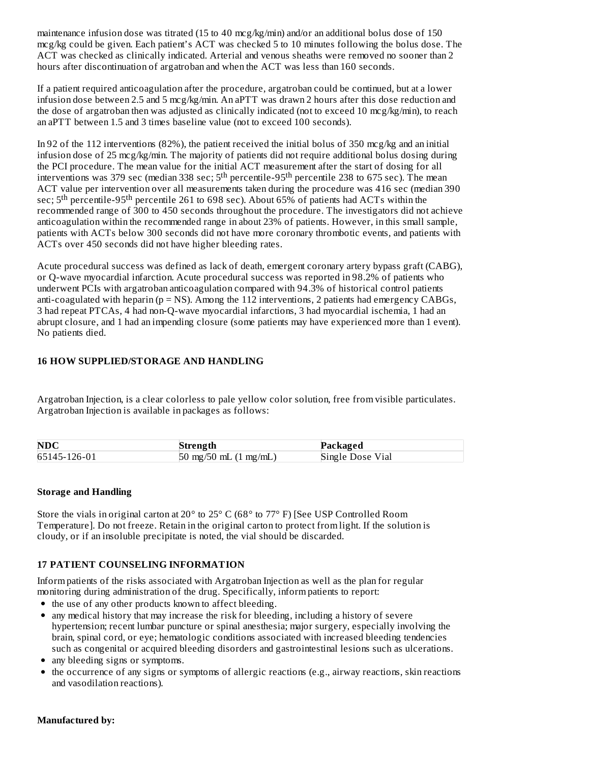maintenance infusion dose was titrated (15 to 40 mcg/kg/min) and/or an additional bolus dose of 150 mcg/kg could be given. Each patient's ACT was checked 5 to 10 minutes following the bolus dose. The ACT was checked as clinically indicated. Arterial and venous sheaths were removed no sooner than 2 hours after discontinuation of argatroban and when the ACT was less than 160 seconds.

If a patient required anticoagulation after the procedure, argatroban could be continued, but at a lower infusion dose between 2.5 and 5 mcg/kg/min. An aPTT was drawn 2 hours after this dose reduction and the dose of argatroban then was adjusted as clinically indicated (not to exceed 10 mcg/kg/min), to reach an aPTT between 1.5 and 3 times baseline value (not to exceed 100 seconds).

In 92 of the 112 interventions (82%), the patient received the initial bolus of 350 mcg/kg and an initial infusion dose of 25 mcg/kg/min. The majority of patients did not require additional bolus dosing during the PCI procedure. The mean value for the initial ACT measurement after the start of dosing for all interventions was 379 sec (median 338 sec; 5<sup>th</sup> percentile-95<sup>th</sup> percentile 238 to 675 sec). The mean ACT value per intervention over all measurements taken during the procedure was 416 sec (median 390 sec;  $5^{\text{th}}$  percentile-95<sup>th</sup> percentile 261 to 698 sec). About 65% of patients had ACTs within the recommended range of 300 to 450 seconds throughout the procedure. The investigators did not achieve anticoagulation within the recommended range in about 23% of patients. However, in this small sample, patients with ACTs below 300 seconds did not have more coronary thrombotic events, and patients with ACTs over 450 seconds did not have higher bleeding rates.

Acute procedural success was defined as lack of death, emergent coronary artery bypass graft (CABG), or Q-wave myocardial infarction. Acute procedural success was reported in 98.2% of patients who underwent PCIs with argatroban anticoagulation compared with 94.3% of historical control patients anti-coagulated with heparin ( $p = NS$ ). Among the 112 interventions, 2 patients had emergency CABGs, 3 had repeat PTCAs, 4 had non-Q-wave myocardial infarctions, 3 had myocardial ischemia, 1 had an abrupt closure, and 1 had an impending closure (some patients may have experienced more than 1 event). No patients died.

### **16 HOW SUPPLIED/STORAGE AND HANDLING**

Argatroban Injection, is a clear colorless to pale yellow color solution, free from visible particulates. Argatroban Injection is available in packages as follows:

| NDC          | Strength                        | Packaged         |
|--------------|---------------------------------|------------------|
| 65145-126-01 | 50 mg/50 mL $(1 \text{ mg/mL})$ | Single Dose Vial |

# **Storage and Handling**

Store the vials in original carton at 20° to 25° C (68° to 77° F) [See USP Controlled Room Temperature]. Do not freeze. Retain in the original carton to protect from light. If the solution is cloudy, or if an insoluble precipitate is noted, the vial should be discarded.

# **17 PATIENT COUNSELING INFORMATION**

Inform patients of the risks associated with Argatroban Injection as well as the plan for regular monitoring during administration of the drug. Specifically, inform patients to report:

- the use of any other products known to affect bleeding.
- any medical history that may increase the risk for bleeding, including a history of severe hypertension; recent lumbar puncture or spinal anesthesia; major surgery, especially involving the brain, spinal cord, or eye; hematologic conditions associated with increased bleeding tendencies such as congenital or acquired bleeding disorders and gastrointestinal lesions such as ulcerations.
- any bleeding signs or symptoms*.*
- the occurrence of any signs or symptoms of allergic reactions (e.g., airway reactions, skin reactions and vasodilation reactions)*.*

#### **Manufactured by:**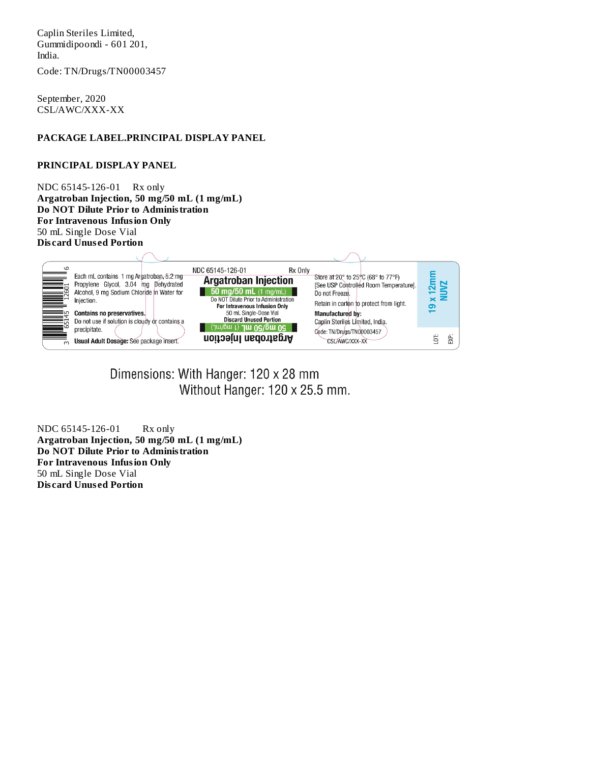Caplin Steriles Limited, Gummidipoondi - 601 201, India.

Code: TN/Drugs/TN00003457

September, 2020 CSL/AWC/XXX-XX

#### **PACKAGE LABEL.PRINCIPAL DISPLAY PANEL**

#### **PRINCIPAL DISPLAY PANEL**

NDC 65145-126-01 Rx only **Argatroban Injection, 50 mg/50 mL (1 mg/mL) Do NOT Dilute Prior to Administration For Intravenous Infusion Only** 50 mL Single Dose Vial **Dis card Unus ed Portion**



Dimensions: With Hanger: 120 x 28 mm Without Hanger: 120 x 25.5 mm.

NDC 65145-126-01 Rx only **Argatroban Injection, 50 mg/50 mL (1 mg/mL) Do NOT Dilute Prior to Administration For Intravenous Infusion Only** 50 mL Single Dose Vial **Dis card Unus ed Portion**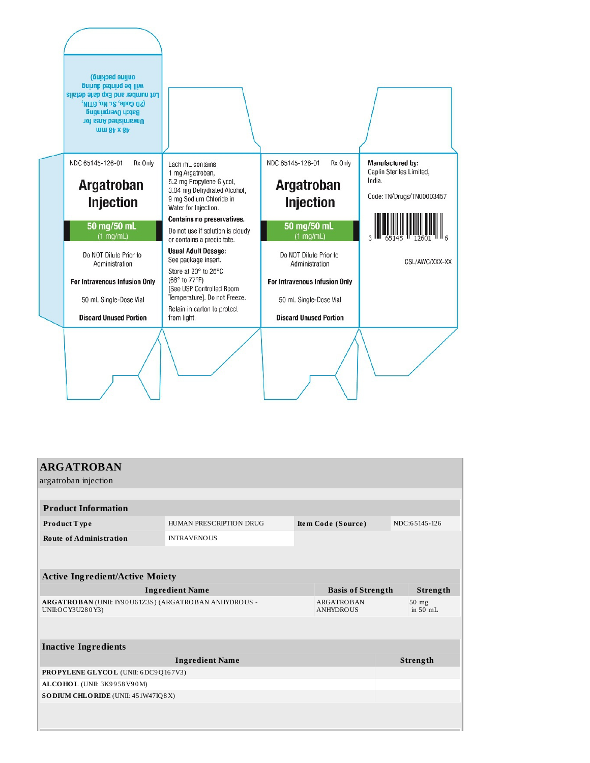

| <b>ARGATROBAN</b><br>argatroban injection                                                                          |                         |  |                          |               |                   |  |  |  |
|--------------------------------------------------------------------------------------------------------------------|-------------------------|--|--------------------------|---------------|-------------------|--|--|--|
|                                                                                                                    |                         |  |                          |               |                   |  |  |  |
| <b>Product Information</b>                                                                                         |                         |  |                          |               |                   |  |  |  |
| Product Type                                                                                                       | HUMAN PRESCRIPTION DRUG |  | Item Code (Source)       | NDC:65145-126 |                   |  |  |  |
| <b>Route of Administration</b>                                                                                     | <b>INTRAVENOUS</b>      |  |                          |               |                   |  |  |  |
|                                                                                                                    |                         |  |                          |               |                   |  |  |  |
| <b>Active Ingredient/Active Moiety</b>                                                                             |                         |  |                          |               |                   |  |  |  |
| <b>Ingredient Name</b>                                                                                             |                         |  | <b>Basis of Strength</b> |               | Strength          |  |  |  |
| ARGATROBAN (UNII: IY90U61Z3S) (ARGATROBAN ANHYDROUS -<br><b>ARGATROBAN</b><br>UNII:OCY3U280Y3)<br><b>ANHYDROUS</b> |                         |  |                          |               | 50 mg<br>in 50 mL |  |  |  |
|                                                                                                                    |                         |  |                          |               |                   |  |  |  |
| <b>Inactive Ingredients</b>                                                                                        |                         |  |                          |               |                   |  |  |  |
| <b>Ingredient Name</b>                                                                                             |                         |  |                          |               | Strength          |  |  |  |
| PROPYLENE GLYCOL (UNII: 6DC9Q167V3)                                                                                |                         |  |                          |               |                   |  |  |  |
| ALCOHOL (UNII: 3K9958V90M)                                                                                         |                         |  |                          |               |                   |  |  |  |
| SODIUM CHLORIDE (UNII: 451W47IQ8X)                                                                                 |                         |  |                          |               |                   |  |  |  |
|                                                                                                                    |                         |  |                          |               |                   |  |  |  |
|                                                                                                                    |                         |  |                          |               |                   |  |  |  |
|                                                                                                                    |                         |  |                          |               |                   |  |  |  |